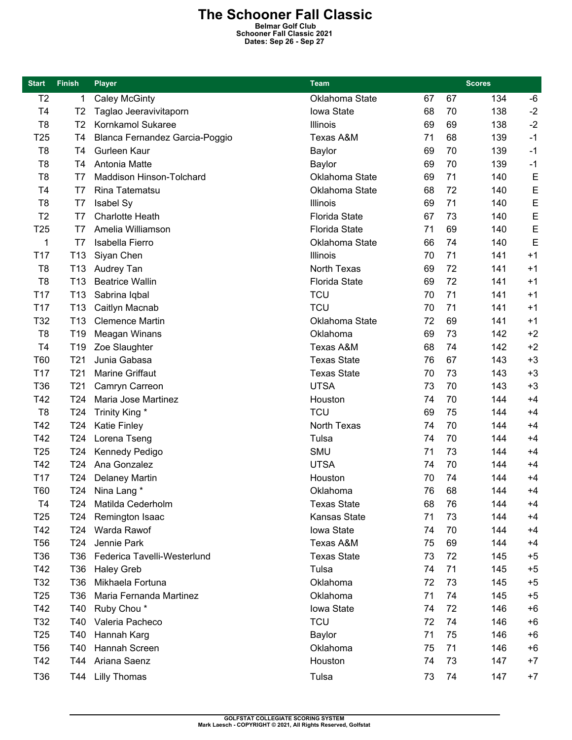## **The Schooner Fall Classic**

**Belmar Golf Club Schooner Fall Classic 2021 Dates: Sep 26 - Sep 27** 

| <b>Start</b>    | <b>Finish</b>   | <b>Player</b>                  | <b>Team</b>          | <b>Scores</b> |    |     |      |
|-----------------|-----------------|--------------------------------|----------------------|---------------|----|-----|------|
| T <sub>2</sub>  | 1               | <b>Caley McGinty</b>           | Oklahoma State       | 67            | 67 | 134 | -6   |
| T <sub>4</sub>  | T <sub>2</sub>  | Taglao Jeeravivitaporn         | Iowa State           | 68            | 70 | 138 | $-2$ |
| T <sub>8</sub>  | T <sub>2</sub>  | Kornkamol Sukaree              | Illinois             | 69            | 69 | 138 | $-2$ |
| T <sub>25</sub> | T4              | Blanca Fernandez Garcia-Poggio | Texas A&M            | 71            | 68 | 139 | $-1$ |
| T <sub>8</sub>  | T4              | Gurleen Kaur                   | Baylor               | 69            | 70 | 139 | $-1$ |
| T <sub>8</sub>  | T4              | Antonia Matte                  | Baylor               | 69            | 70 | 139 | $-1$ |
| T <sub>8</sub>  | T7              | Maddison Hinson-Tolchard       | Oklahoma State       | 69            | 71 | 140 | E    |
| T <sub>4</sub>  | T7              | Rina Tatematsu                 | Oklahoma State       | 68            | 72 | 140 | E    |
| T <sub>8</sub>  | T7              | Isabel Sy                      | Illinois             | 69            | 71 | 140 | E    |
| T <sub>2</sub>  | T7              | <b>Charlotte Heath</b>         | <b>Florida State</b> | 67            | 73 | 140 | E    |
| T <sub>25</sub> | T7              | Amelia Williamson              | <b>Florida State</b> | 71            | 69 | 140 | E    |
| 1               | T7              | Isabella Fierro                | Oklahoma State       | 66            | 74 | 140 | E    |
| T <sub>17</sub> | T <sub>13</sub> | Siyan Chen                     | Illinois             | 70            | 71 | 141 | $+1$ |
| T <sub>8</sub>  | T <sub>13</sub> | Audrey Tan                     | <b>North Texas</b>   | 69            | 72 | 141 | $+1$ |
| T <sub>8</sub>  | T <sub>13</sub> | <b>Beatrice Wallin</b>         | <b>Florida State</b> | 69            | 72 | 141 | $+1$ |
| T <sub>17</sub> | T <sub>13</sub> | Sabrina Iqbal                  | <b>TCU</b>           | 70            | 71 | 141 | $+1$ |
| T17             | T <sub>13</sub> | Caitlyn Macnab                 | <b>TCU</b>           | 70            | 71 | 141 | $+1$ |
| T32             | T <sub>13</sub> | <b>Clemence Martin</b>         | Oklahoma State       | 72            | 69 | 141 | $+1$ |
| T <sub>8</sub>  | T <sub>19</sub> | Meagan Winans                  | Oklahoma             | 69            | 73 | 142 | $+2$ |
| T4              | T <sub>19</sub> | Zoe Slaughter                  | Texas A&M            | 68            | 74 | 142 | $+2$ |
| T60             | T <sub>21</sub> | Junia Gabasa                   | <b>Texas State</b>   | 76            | 67 | 143 | $+3$ |
| T <sub>17</sub> | T <sub>21</sub> | Marine Griffaut                | <b>Texas State</b>   | 70            | 73 | 143 | $+3$ |
| T36             | T <sub>21</sub> | Camryn Carreon                 | <b>UTSA</b>          | 73            | 70 | 143 | $+3$ |
| T42             | T24             | Maria Jose Martinez            | Houston              | 74            | 70 | 144 | $+4$ |
| T <sub>8</sub>  | T <sub>24</sub> | Trinity King *                 | <b>TCU</b>           | 69            | 75 | 144 | $+4$ |
| T42             | T <sub>24</sub> | <b>Katie Finley</b>            | North Texas          | 74            | 70 | 144 | $+4$ |
| T42             | T24             | Lorena Tseng                   | Tulsa                | 74            | 70 | 144 | $+4$ |
| T <sub>25</sub> | T <sub>24</sub> | Kennedy Pedigo                 | SMU                  | 71            | 73 | 144 | $+4$ |
| T42             | T24             | Ana Gonzalez                   | <b>UTSA</b>          | 74            | 70 | 144 | $+4$ |
| T17             | T <sub>24</sub> | <b>Delaney Martin</b>          | Houston              | 70            | 74 | 144 | $+4$ |
| T60             | T <sub>24</sub> | Nina Lang *                    | Oklahoma             | 76            | 68 | 144 | $+4$ |
| T <sub>4</sub>  | T24             | Matilda Cederholm              | <b>Texas State</b>   | 68            | 76 | 144 | $+4$ |
| T <sub>25</sub> | T <sub>24</sub> | Remington Isaac                | Kansas State         | 71            | 73 | 144 | $+4$ |
| T42             | T <sub>24</sub> | Warda Rawof                    | Iowa State           | 74            | 70 | 144 | $+4$ |
| <b>T56</b>      | T <sub>24</sub> | Jennie Park                    | Texas A&M            | 75            | 69 | 144 | $+4$ |
| T36             | T36             | Federica Tavelli-Westerlund    | <b>Texas State</b>   | 73            | 72 | 145 | $+5$ |
| T42             | T36             | <b>Haley Greb</b>              | Tulsa                | 74            | 71 | 145 | $+5$ |
| T32             | T36             | Mikhaela Fortuna               | Oklahoma             | 72            | 73 | 145 | $+5$ |
| T <sub>25</sub> | T <sub>36</sub> | Maria Fernanda Martinez        | Oklahoma             | 71            | 74 | 145 | $+5$ |
| T42             | T40             | Ruby Chou*                     | Iowa State           | 74            | 72 | 146 | $+6$ |
| T32             | T40             | Valeria Pacheco                | <b>TCU</b>           | 72            | 74 | 146 | $+6$ |
| T <sub>25</sub> | T40             | Hannah Karg                    | Baylor               | 71            | 75 | 146 | $+6$ |
| <b>T56</b>      | T40             | Hannah Screen                  | Oklahoma             | 75            | 71 | 146 | $+6$ |
| T42             | T44             | Ariana Saenz                   | Houston              | 74            | 73 | 147 | $+7$ |
| T36             | T44             | <b>Lilly Thomas</b>            | Tulsa                | 73            | 74 | 147 | $+7$ |